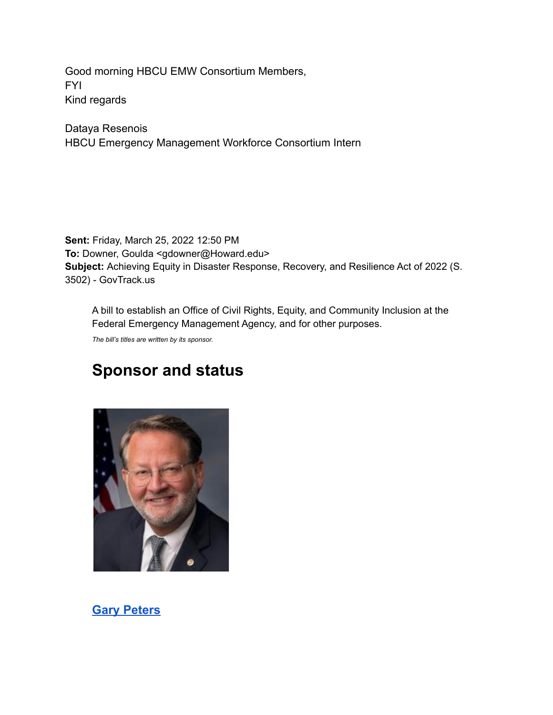Good morning HBCU EMW Consortium Members, FYI Kind regards

Dataya Resenois HBCU Emergency Management Workforce Consortium Intern

**Sent:** Friday, March 25, 2022 12:50 PM **To:** Downer, Goulda <gdowner@Howard.edu> **Subject:** Achieving Equity in Disaster Response, Recovery, and Resilience Act of 2022 (S. 3502) - GovTrack.us

A bill to establish an Office of Civil Rights, Equity, and Community Inclusion at the Federal Emergency Management Agency, and for other purposes.

*The bill's titles are written by its sponsor.*

## **Sponsor and status**



**[Gary Peters](https://nam04.safelinks.protection.outlook.com/?url=https%3A%2F%2Fwww.govtrack.us%2Fcongress%2Fmembers%2Fgary_peters%2F412305&data=04%7C01%7Cdataya.resenois%40bison.howard.edu%7C04ea9e6e5b084affb84208da0e85e0a1%7C02ac0c07b75f46bf9b133630ba94bb69%7C0%7C0%7C637838265396676321%7CUnknown%7CTWFpbGZsb3d8eyJWIjoiMC4wLjAwMDAiLCJQIjoiV2luMzIiLCJBTiI6Ik1haWwiLCJXVCI6Mn0%3D%7C3000&sdata=yPHH9ng2ozIA7YNUTr0MNcAy6BDJPJBF%2BTgLgSu%2FCWI%3D&reserved=0)**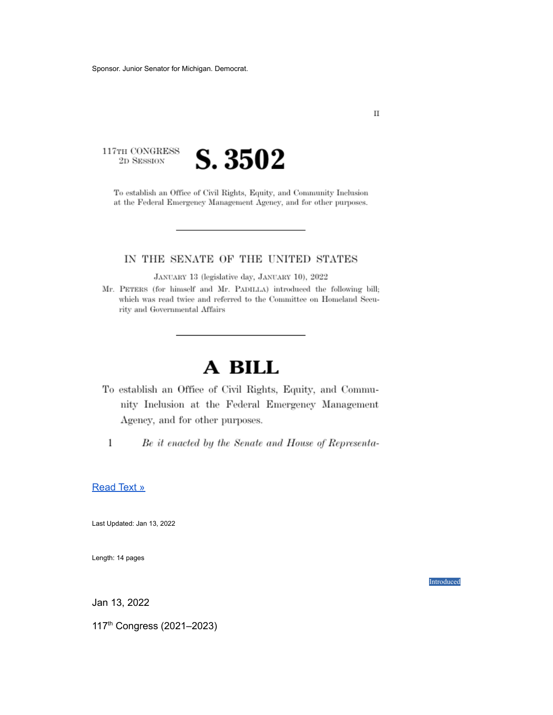117TH CONGRESS 2D SESSION



To establish an Office of Civil Rights, Equity, and Community Inclusion at the Federal Emergency Management Agency, and for other purposes.

#### IN THE SENATE OF THE UNITED STATES

JANUARY 13 (legislative day, JANUARY 10), 2022

Mr. PETERS (for himself and Mr. PADILLA) introduced the following bill; which was read twice and referred to the Committee on Homeland Security and Governmental Affairs

# A BILL

To establish an Office of Civil Rights, Equity, and Community Inclusion at the Federal Emergency Management Agency, and for other purposes.

 $\,1\,$ 

Be it enacted by the Senate and House of Representa-

#### [Read](https://nam04.safelinks.protection.outlook.com/?url=https%3A%2F%2Fwww.govtrack.us%2Fcongress%2Fbills%2F117%2Fs3502%2Ftext&data=04%7C01%7Cdataya.resenois%40bison.howard.edu%7C04ea9e6e5b084affb84208da0e85e0a1%7C02ac0c07b75f46bf9b133630ba94bb69%7C0%7C0%7C637838265396676321%7CUnknown%7CTWFpbGZsb3d8eyJWIjoiMC4wLjAwMDAiLCJQIjoiV2luMzIiLCJBTiI6Ik1haWwiLCJXVCI6Mn0%3D%7C3000&sdata=r%2BX8EiB5e7ob%2FakPlby1ces7SWc4XJ0BE21apvPKP%2Bg%3D&reserved=0) Text »

Last Updated: Jan 13, 2022

Length: 14 pages

Introduced

Jan 13, 2022

117 th Congress (2021–2023)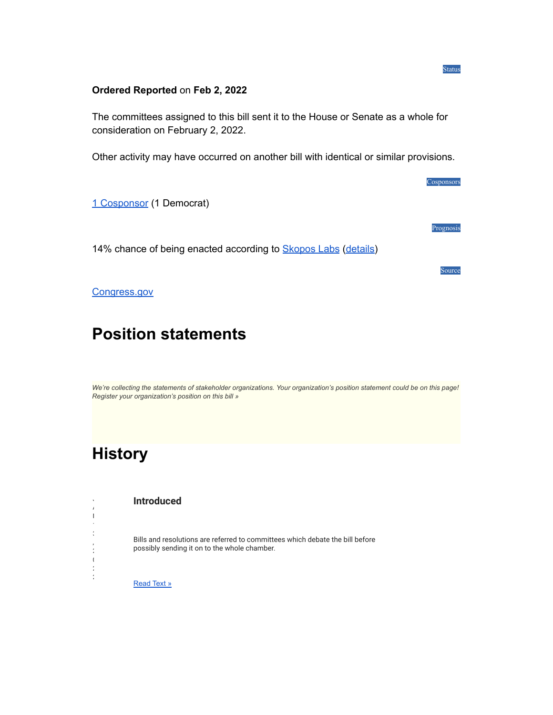#### **Ordered Reported** on **Feb 2, 2022**

The committees assigned to this bill sent it to the House or Senate as a whole for consideration on February 2, 2022.

Other activity may have occurred on another bill with identical or similar provisions.

1 [Cosponsor](https://nam04.safelinks.protection.outlook.com/?url=https%3A%2F%2Fwww.govtrack.us%2Fcongress%2Fbills%2F117%2Fs3502%2Fcosponsors&data=04%7C01%7Cdataya.resenois%40bison.howard.edu%7C04ea9e6e5b084affb84208da0e85e0a1%7C02ac0c07b75f46bf9b133630ba94bb69%7C0%7C0%7C637838265396676321%7CUnknown%7CTWFpbGZsb3d8eyJWIjoiMC4wLjAwMDAiLCJQIjoiV2luMzIiLCJBTiI6Ik1haWwiLCJXVCI6Mn0%3D%7C3000&sdata=RhYbZeu1%2B1b8PHoqBgrJYebj1rAkZsZKlp3wexKu%2BCw%3D&reserved=0) (1 Democrat)

14% chance of being enacted according to **[Skopos](https://nam04.safelinks.protection.outlook.com/?url=https%3A%2F%2Fwww.skoposlabs.com%2F&data=04%7C01%7Cdataya.resenois%40bison.howard.edu%7C04ea9e6e5b084affb84208da0e85e0a1%7C02ac0c07b75f46bf9b133630ba94bb69%7C0%7C0%7C637838265396832956%7CUnknown%7CTWFpbGZsb3d8eyJWIjoiMC4wLjAwMDAiLCJQIjoiV2luMzIiLCJBTiI6Ik1haWwiLCJXVCI6Mn0%3D%7C3000&sdata=V8oPQt4XroKhESJmdb0khRb4czzUQphlqt81TX%2B9i98%3D&reserved=0) Labs [\(details\)](https://nam04.safelinks.protection.outlook.com/?url=https%3A%2F%2Fwww.govtrack.us%2Fcongress%2Fbills%2F117%2Fs3502%23&data=04%7C01%7Cdataya.resenois%40bison.howard.edu%7C04ea9e6e5b084affb84208da0e85e0a1%7C02ac0c07b75f46bf9b133630ba94bb69%7C0%7C0%7C637838265396832956%7CUnknown%7CTWFpbGZsb3d8eyJWIjoiMC4wLjAwMDAiLCJQIjoiV2luMzIiLCJBTiI6Ik1haWwiLCJXVCI6Mn0%3D%7C3000&sdata=5Kk8XT6K5jfNYe6DXK9LAukYTm8rDjYs%2FWHRR5RG9KM%3D&reserved=0)** 

Source

Cosponsors

Prognosis

Status

[Congress.gov](https://nam04.safelinks.protection.outlook.com/?url=https%3A%2F%2Fcongress.gov%2Fbill%2F117-congress%2Fsenate-bill%2F3502&data=04%7C01%7Cdataya.resenois%40bison.howard.edu%7C04ea9e6e5b084affb84208da0e85e0a1%7C02ac0c07b75f46bf9b133630ba94bb69%7C0%7C0%7C637838265396832956%7CUnknown%7CTWFpbGZsb3d8eyJWIjoiMC4wLjAwMDAiLCJQIjoiV2luMzIiLCJBTiI6Ik1haWwiLCJXVCI6Mn0%3D%7C3000&sdata=%2F%2BdRW28U2P7cIUYlNIJpbniueSBwSX%2FLUK8jrtDiTIM%3D&reserved=0)

## **Position statements**

*[We're collecting the statements of stakeholder organizations. Your organization's position statement could be on this page!](https://nam04.safelinks.protection.outlook.com/?url=https%3A%2F%2Fwww.govtrack.us%2Fstakeholders%2Fnew-post%3Fbill%3Ds3502-117&data=04%7C01%7Cdataya.resenois%40bison.howard.edu%7C04ea9e6e5b084affb84208da0e85e0a1%7C02ac0c07b75f46bf9b133630ba94bb69%7C0%7C0%7C637838265396832956%7CUnknown%7CTWFpbGZsb3d8eyJWIjoiMC4wLjAwMDAiLCJQIjoiV2luMzIiLCJBTiI6Ik1haWwiLCJXVCI6Mn0%3D%7C3000&sdata=oEyDymaF7HzexDPMbAKV2YhZBdANMMRruwtGwhd0UuE%3D&reserved=0) [Register your organization's position on this bill »](https://nam04.safelinks.protection.outlook.com/?url=https%3A%2F%2Fwww.govtrack.us%2Fstakeholders%2Fnew-post%3Fbill%3Ds3502-117&data=04%7C01%7Cdataya.resenois%40bison.howard.edu%7C04ea9e6e5b084affb84208da0e85e0a1%7C02ac0c07b75f46bf9b133630ba94bb69%7C0%7C0%7C637838265396832956%7CUnknown%7CTWFpbGZsb3d8eyJWIjoiMC4wLjAwMDAiLCJQIjoiV2luMzIiLCJBTiI6Ik1haWwiLCJXVCI6Mn0%3D%7C3000&sdata=oEyDymaF7HzexDPMbAKV2YhZBdANMMRruwtGwhd0UuE%3D&reserved=0)*

## **History**

J A  $\mathbf{I}$  $\frac{1}{3}$ , 2  $\overline{1}$ 2  $\mathbb{Z}^2$ 

**Introduced**

Bills and resolutions are referred to committees which debate the bill before possibly sending it on to the whole chamber.

[Read](https://nam04.safelinks.protection.outlook.com/?url=https%3A%2F%2Fwww.govtrack.us%2Fcongress%2Fbills%2F117%2Fs3502%2Ftext%2Fis&data=04%7C01%7Cdataya.resenois%40bison.howard.edu%7C04ea9e6e5b084affb84208da0e85e0a1%7C02ac0c07b75f46bf9b133630ba94bb69%7C0%7C0%7C637838265396832956%7CUnknown%7CTWFpbGZsb3d8eyJWIjoiMC4wLjAwMDAiLCJQIjoiV2luMzIiLCJBTiI6Ik1haWwiLCJXVCI6Mn0%3D%7C3000&sdata=hTRkD8RpQBC4qLJ4BAz6RGJpjzplwJXLkv8zS2x7i%2F0%3D&reserved=0) Text »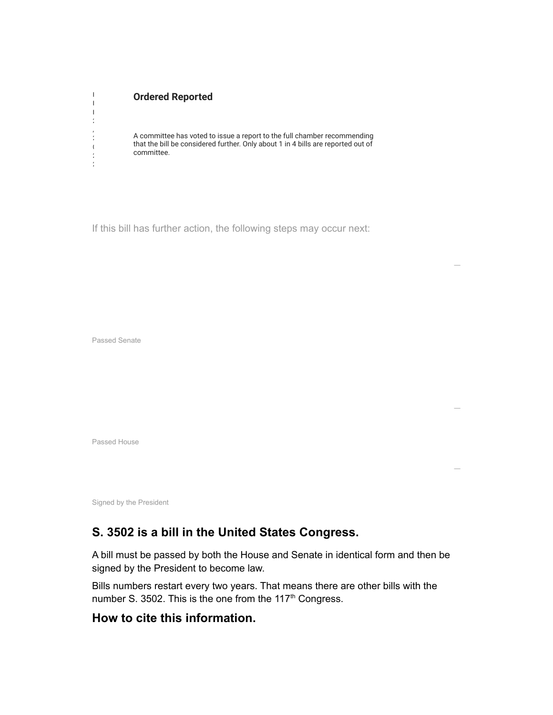#### **Ordered Reported**

A committee has voted to issue a report to the full chamber recommending that the bill be considered further. Only about 1 in 4 bills are reported out of committee.

—

—

—

If this bill has further action, the following steps may occur next:

Passed Senate

 $\overline{\phantom{a}}$  $\mathbb{R}$  $\parallel$  $\frac{1}{2}$ , 2  $\overline{1}$ 2 2

Passed House

Signed by the President

### **S. 3502 is a bill in the United States Congress.**

A bill must be passed by both the House and Senate in identical form and then be signed by the President to become law.

Bills numbers restart every two years. That means there are other bills with the number S. 3502. This is the one from the 117<sup>th</sup> Congress.

### **How to cite this information.**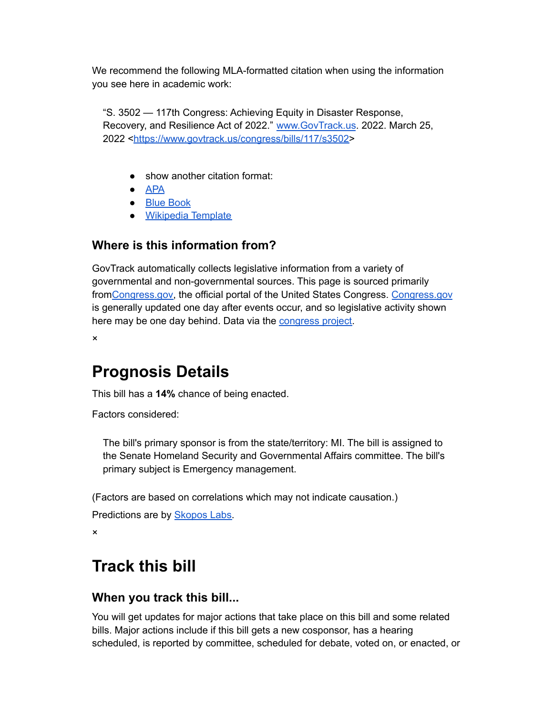We recommend the following MLA-formatted citation when using the information you see here in academic work:

"S. 3502 — 117th Congress: Achieving Equity in Disaster Response, Recovery, and Resilience Act of 2022." [www.GovTrack.us](https://nam04.safelinks.protection.outlook.com/?url=http%3A%2F%2Fwww.govtrack.us%2F&data=04%7C01%7Cdataya.resenois%40bison.howard.edu%7C04ea9e6e5b084affb84208da0e85e0a1%7C02ac0c07b75f46bf9b133630ba94bb69%7C0%7C0%7C637838265396832956%7CUnknown%7CTWFpbGZsb3d8eyJWIjoiMC4wLjAwMDAiLCJQIjoiV2luMzIiLCJBTiI6Ik1haWwiLCJXVCI6Mn0%3D%7C3000&sdata=Yqt4%2FotBIvLIo5FI1h4%2BXh%2F5ZTxV0vFWLoZtW%2FLaCMg%3D&reserved=0). 2022. March 25, 2022 <[https://www.govtrack.us/congress/bills/117/s3502>](https://nam04.safelinks.protection.outlook.com/?url=https%3A%2F%2Fwww.govtrack.us%2Fcongress%2Fbills%2F117%2Fs3502&data=04%7C01%7Cdataya.resenois%40bison.howard.edu%7C04ea9e6e5b084affb84208da0e85e0a1%7C02ac0c07b75f46bf9b133630ba94bb69%7C0%7C0%7C637838265396832956%7CUnknown%7CTWFpbGZsb3d8eyJWIjoiMC4wLjAwMDAiLCJQIjoiV2luMzIiLCJBTiI6Ik1haWwiLCJXVCI6Mn0%3D%7C3000&sdata=DXcSqKJTLdtqbQWZUbYjOAzA0kQcB6DFGdeiyqpeSIY%3D&reserved=0)

- show another citation format:
- [APA](https://nam04.safelinks.protection.outlook.com/?url=https%3A%2F%2Fwww.govtrack.us%2Fcongress%2Fbills%2F117%2Fs3502%23&data=04%7C01%7Cdataya.resenois%40bison.howard.edu%7C04ea9e6e5b084affb84208da0e85e0a1%7C02ac0c07b75f46bf9b133630ba94bb69%7C0%7C0%7C637838265396832956%7CUnknown%7CTWFpbGZsb3d8eyJWIjoiMC4wLjAwMDAiLCJQIjoiV2luMzIiLCJBTiI6Ik1haWwiLCJXVCI6Mn0%3D%7C3000&sdata=5Kk8XT6K5jfNYe6DXK9LAukYTm8rDjYs%2FWHRR5RG9KM%3D&reserved=0)
- Blue [Book](https://nam04.safelinks.protection.outlook.com/?url=https%3A%2F%2Fwww.govtrack.us%2Fcongress%2Fbills%2F117%2Fs3502%23&data=04%7C01%7Cdataya.resenois%40bison.howard.edu%7C04ea9e6e5b084affb84208da0e85e0a1%7C02ac0c07b75f46bf9b133630ba94bb69%7C0%7C0%7C637838265396832956%7CUnknown%7CTWFpbGZsb3d8eyJWIjoiMC4wLjAwMDAiLCJQIjoiV2luMzIiLCJBTiI6Ik1haWwiLCJXVCI6Mn0%3D%7C3000&sdata=5Kk8XT6K5jfNYe6DXK9LAukYTm8rDjYs%2FWHRR5RG9KM%3D&reserved=0)
- [Wikipedia](https://nam04.safelinks.protection.outlook.com/?url=https%3A%2F%2Fwww.govtrack.us%2Fcongress%2Fbills%2F117%2Fs3502%23&data=04%7C01%7Cdataya.resenois%40bison.howard.edu%7C04ea9e6e5b084affb84208da0e85e0a1%7C02ac0c07b75f46bf9b133630ba94bb69%7C0%7C0%7C637838265396832956%7CUnknown%7CTWFpbGZsb3d8eyJWIjoiMC4wLjAwMDAiLCJQIjoiV2luMzIiLCJBTiI6Ik1haWwiLCJXVCI6Mn0%3D%7C3000&sdata=5Kk8XT6K5jfNYe6DXK9LAukYTm8rDjYs%2FWHRR5RG9KM%3D&reserved=0) Template

### **Where is this information from?**

GovTrack automatically collects legislative information from a variety of governmental and non-governmental sources. This page is sourced primarily from[Congress.gov,](https://nam04.safelinks.protection.outlook.com/?url=https%3A%2F%2Fcongress.gov%2Fbill%2F117-congress%2Fsenate-bill%2F3502&data=04%7C01%7Cdataya.resenois%40bison.howard.edu%7C04ea9e6e5b084affb84208da0e85e0a1%7C02ac0c07b75f46bf9b133630ba94bb69%7C0%7C0%7C637838265396832956%7CUnknown%7CTWFpbGZsb3d8eyJWIjoiMC4wLjAwMDAiLCJQIjoiV2luMzIiLCJBTiI6Ik1haWwiLCJXVCI6Mn0%3D%7C3000&sdata=%2F%2BdRW28U2P7cIUYlNIJpbniueSBwSX%2FLUK8jrtDiTIM%3D&reserved=0) the official portal of the United States Congress. [Congress.gov](https://nam04.safelinks.protection.outlook.com/?url=http%3A%2F%2Fcongress.gov%2F&data=04%7C01%7Cdataya.resenois%40bison.howard.edu%7C04ea9e6e5b084affb84208da0e85e0a1%7C02ac0c07b75f46bf9b133630ba94bb69%7C0%7C0%7C637838265396832956%7CUnknown%7CTWFpbGZsb3d8eyJWIjoiMC4wLjAwMDAiLCJQIjoiV2luMzIiLCJBTiI6Ik1haWwiLCJXVCI6Mn0%3D%7C3000&sdata=bEKpM17JjO1b1pMwKW2nZU9tq4YKXXZZNjGFc7eRMg8%3D&reserved=0) is generally updated one day after events occur, and so legislative activity shown here may be one day behind. Data via the [congress](https://nam04.safelinks.protection.outlook.com/?url=https%3A%2F%2Fgithub.com%2Funitedstates%2Fcongress&data=04%7C01%7Cdataya.resenois%40bison.howard.edu%7C04ea9e6e5b084affb84208da0e85e0a1%7C02ac0c07b75f46bf9b133630ba94bb69%7C0%7C0%7C637838265396832956%7CUnknown%7CTWFpbGZsb3d8eyJWIjoiMC4wLjAwMDAiLCJQIjoiV2luMzIiLCJBTiI6Ik1haWwiLCJXVCI6Mn0%3D%7C3000&sdata=yUxhorfwakCQW3p4I1cfeoaBuI5FmUa2vOjkzvCnK8A%3D&reserved=0) project.

×

## **Prognosis Details**

This bill has a **14%** chance of being enacted.

Factors considered:

The bill's primary sponsor is from the state/territory: MI. The bill is assigned to the Senate Homeland Security and Governmental Affairs committee. The bill's primary subject is Emergency management.

(Factors are based on correlations which may not indicate causation.)

```
Predictions are by Skopos Labs.
```
×

# **Track this bill**

### **When you track this bill...**

You will get updates for major actions that take place on this bill and some related bills. Major actions include if this bill gets a new cosponsor, has a hearing scheduled, is reported by committee, scheduled for debate, voted on, or enacted, or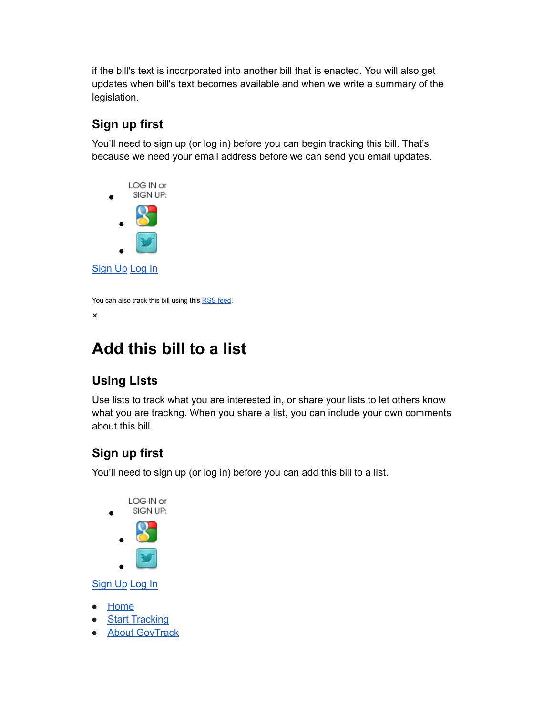if the bill's text is incorporated into another bill that is enacted. You will also get updates when bill's text becomes available and when we write a summary of the legislation.

### **Sign up first**

You'll need to sign up (or log in) before you can begin tracking this bill. That's because we need your email address before we can send you email updates.



```
You can also track this bill using this RSS feed.
```
×

# **Add this bill to a list**

## **Using Lists**

Use lists to track what you are interested in, or share your lists to let others know what you are trackng. When you share a list, you can include your own comments about this bill.

## **Sign up first**

You'll need to sign up (or log in) before you can add this bill to a list.



[Sign](https://nam04.safelinks.protection.outlook.com/?url=https%3A%2F%2Fwww.govtrack.us%2Fregistration%2Fsignup%3Fnext%3D%2Fcongress%2Fbills%2F117%2Fs3502%2523addtolist&data=04%7C01%7Cdataya.resenois%40bison.howard.edu%7C04ea9e6e5b084affb84208da0e85e0a1%7C02ac0c07b75f46bf9b133630ba94bb69%7C0%7C0%7C637838265396832956%7CUnknown%7CTWFpbGZsb3d8eyJWIjoiMC4wLjAwMDAiLCJQIjoiV2luMzIiLCJBTiI6Ik1haWwiLCJXVCI6Mn0%3D%7C3000&sdata=%2B%2BnL14URhdJYO1u4z8WlhSydnpYcfGb4eY7bhx3paeI%3D&reserved=0) Up [Log](https://nam04.safelinks.protection.outlook.com/?url=https%3A%2F%2Fwww.govtrack.us%2Faccounts%2Flogin%3Fnext%3D%2Fcongress%2Fbills%2F117%2Fs3502%2523addtolist&data=04%7C01%7Cdataya.resenois%40bison.howard.edu%7C04ea9e6e5b084affb84208da0e85e0a1%7C02ac0c07b75f46bf9b133630ba94bb69%7C0%7C0%7C637838265396832956%7CUnknown%7CTWFpbGZsb3d8eyJWIjoiMC4wLjAwMDAiLCJQIjoiV2luMzIiLCJBTiI6Ik1haWwiLCJXVCI6Mn0%3D%7C3000&sdata=mDjyWkfFodIXoAN344iywyjfDSB%2F89SRjQ%2F7pqYzpHg%3D&reserved=0) In

- **[Home](https://nam04.safelinks.protection.outlook.com/?url=https%3A%2F%2Fwww.govtrack.us%2F&data=04%7C01%7Cdataya.resenois%40bison.howard.edu%7C04ea9e6e5b084affb84208da0e85e0a1%7C02ac0c07b75f46bf9b133630ba94bb69%7C0%7C0%7C637838265396832956%7CUnknown%7CTWFpbGZsb3d8eyJWIjoiMC4wLjAwMDAiLCJQIjoiV2luMzIiLCJBTiI6Ik1haWwiLCJXVCI6Mn0%3D%7C3000&sdata=Z0%2BoSu%2BfV8xWiUo8wIHczsoi5cmyCQ4FmWT9ERc0pQs%3D&reserved=0)**
- **Start [Tracking](https://nam04.safelinks.protection.outlook.com/?url=https%3A%2F%2Fwww.govtrack.us%2Fstart&data=04%7C01%7Cdataya.resenois%40bison.howard.edu%7C04ea9e6e5b084affb84208da0e85e0a1%7C02ac0c07b75f46bf9b133630ba94bb69%7C0%7C0%7C637838265396832956%7CUnknown%7CTWFpbGZsb3d8eyJWIjoiMC4wLjAwMDAiLCJQIjoiV2luMzIiLCJBTiI6Ik1haWwiLCJXVCI6Mn0%3D%7C3000&sdata=SEoO285BF84UB%2F%2F4Gw9mZy4knfVIh3Treh5kCMkWPaw%3D&reserved=0)**
- **About [GovTrack](https://nam04.safelinks.protection.outlook.com/?url=https%3A%2F%2Fwww.govtrack.us%2Fabout&data=04%7C01%7Cdataya.resenois%40bison.howard.edu%7C04ea9e6e5b084affb84208da0e85e0a1%7C02ac0c07b75f46bf9b133630ba94bb69%7C0%7C0%7C637838265396832956%7CUnknown%7CTWFpbGZsb3d8eyJWIjoiMC4wLjAwMDAiLCJQIjoiV2luMzIiLCJBTiI6Ik1haWwiLCJXVCI6Mn0%3D%7C3000&sdata=zR7zzdr6W9aSgMi3rwZji6mldFuBfh2XokF7Zg1tFNA%3D&reserved=0)**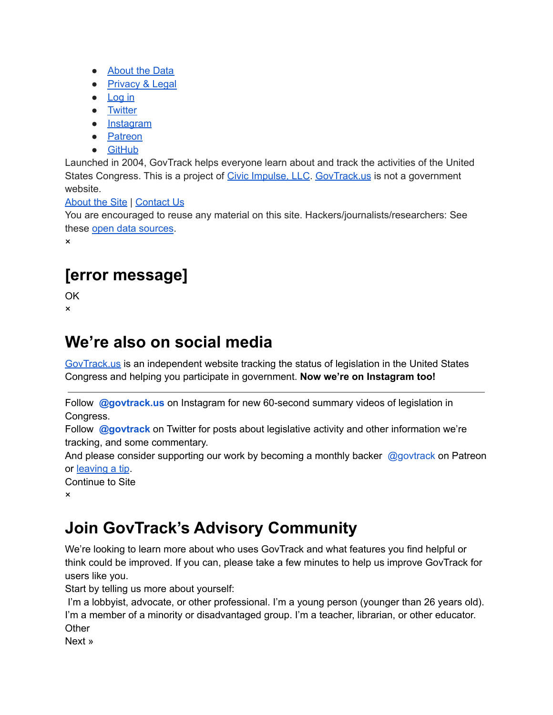- [About](https://nam04.safelinks.protection.outlook.com/?url=https%3A%2F%2Fwww.govtrack.us%2Fabout-our-data&data=04%7C01%7Cdataya.resenois%40bison.howard.edu%7C04ea9e6e5b084affb84208da0e85e0a1%7C02ac0c07b75f46bf9b133630ba94bb69%7C0%7C0%7C637838265396832956%7CUnknown%7CTWFpbGZsb3d8eyJWIjoiMC4wLjAwMDAiLCJQIjoiV2luMzIiLCJBTiI6Ik1haWwiLCJXVCI6Mn0%3D%7C3000&sdata=I5UMdzsU0nG%2BYKZB36DRc5b4dO2UqJzJ5T7AWrqX3Q8%3D&reserved=0) the Data
- [Privacy](https://nam04.safelinks.protection.outlook.com/?url=https%3A%2F%2Fwww.govtrack.us%2Flegal&data=04%7C01%7Cdataya.resenois%40bison.howard.edu%7C04ea9e6e5b084affb84208da0e85e0a1%7C02ac0c07b75f46bf9b133630ba94bb69%7C0%7C0%7C637838265396832956%7CUnknown%7CTWFpbGZsb3d8eyJWIjoiMC4wLjAwMDAiLCJQIjoiV2luMzIiLCJBTiI6Ik1haWwiLCJXVCI6Mn0%3D%7C3000&sdata=6I7ae7JQg5LNIi%2B55ldd1om0HCOS4dN%2BCUB%2FAfJnekM%3D&reserved=0) & Legal
- <u>[Log](https://nam04.safelinks.protection.outlook.com/?url=https%3A%2F%2Fwww.govtrack.us%2Faccounts%2Flogin&data=04%7C01%7Cdataya.resenois%40bison.howard.edu%7C04ea9e6e5b084affb84208da0e85e0a1%7C02ac0c07b75f46bf9b133630ba94bb69%7C0%7C0%7C637838265396832956%7CUnknown%7CTWFpbGZsb3d8eyJWIjoiMC4wLjAwMDAiLCJQIjoiV2luMzIiLCJBTiI6Ik1haWwiLCJXVCI6Mn0%3D%7C3000&sdata=N0QO5Nfr5UB2Q%2F6Ir6lrFKv7C45s99jEE2kvdwgvhnc%3D&reserved=0) in</u>
- [Twitter](https://nam04.safelinks.protection.outlook.com/?url=http%3A%2F%2Ftwitter.com%2Fgovtrack&data=04%7C01%7Cdataya.resenois%40bison.howard.edu%7C04ea9e6e5b084affb84208da0e85e0a1%7C02ac0c07b75f46bf9b133630ba94bb69%7C0%7C0%7C637838265396832956%7CUnknown%7CTWFpbGZsb3d8eyJWIjoiMC4wLjAwMDAiLCJQIjoiV2luMzIiLCJBTiI6Ik1haWwiLCJXVCI6Mn0%3D%7C3000&sdata=XtqEJj8JGBBJnEBQyE7Z1%2FeZQOmhls2kyeAYL4EhPzw%3D&reserved=0)
- [Instagram](https://nam04.safelinks.protection.outlook.com/?url=https%3A%2F%2Fwww.instagram.com%2Fgovtrack.us%2F&data=04%7C01%7Cdataya.resenois%40bison.howard.edu%7C04ea9e6e5b084affb84208da0e85e0a1%7C02ac0c07b75f46bf9b133630ba94bb69%7C0%7C0%7C637838265396832956%7CUnknown%7CTWFpbGZsb3d8eyJWIjoiMC4wLjAwMDAiLCJQIjoiV2luMzIiLCJBTiI6Ik1haWwiLCJXVCI6Mn0%3D%7C3000&sdata=%2BUGAEE%2B1nXkrLQNCW08YNEFVUT3kw%2BDs5y1TlgABS3k%3D&reserved=0)
- [Patreon](https://nam04.safelinks.protection.outlook.com/?url=https%3A%2F%2Fwww.patreon.com%2Fgovtrack&data=04%7C01%7Cdataya.resenois%40bison.howard.edu%7C04ea9e6e5b084affb84208da0e85e0a1%7C02ac0c07b75f46bf9b133630ba94bb69%7C0%7C0%7C637838265396832956%7CUnknown%7CTWFpbGZsb3d8eyJWIjoiMC4wLjAwMDAiLCJQIjoiV2luMzIiLCJBTiI6Ik1haWwiLCJXVCI6Mn0%3D%7C3000&sdata=I5zXKXfmk1lGs3FDl9Gf1p5nhdr63mPQ%2FfvjFY%2Fs4pk%3D&reserved=0)
- [GitHub](https://nam04.safelinks.protection.outlook.com/?url=https%3A%2F%2Fgithub.com%2Fgovtrack&data=04%7C01%7Cdataya.resenois%40bison.howard.edu%7C04ea9e6e5b084affb84208da0e85e0a1%7C02ac0c07b75f46bf9b133630ba94bb69%7C0%7C0%7C637838265396988766%7CUnknown%7CTWFpbGZsb3d8eyJWIjoiMC4wLjAwMDAiLCJQIjoiV2luMzIiLCJBTiI6Ik1haWwiLCJXVCI6Mn0%3D%7C3000&sdata=w2pvWzIzC3mm%2FRGlbrYKHTnwdnMxbt%2BQTW0BDuZqtMc%3D&reserved=0)

Launched in 2004, GovTrack helps everyone learn about and track the activities of the United States Congress. This is a project of Civic [Impulse,](https://nam04.safelinks.protection.outlook.com/?url=http%3A%2F%2Fwww.civicimpulse.com%2F&data=04%7C01%7Cdataya.resenois%40bison.howard.edu%7C04ea9e6e5b084affb84208da0e85e0a1%7C02ac0c07b75f46bf9b133630ba94bb69%7C0%7C0%7C637838265396988766%7CUnknown%7CTWFpbGZsb3d8eyJWIjoiMC4wLjAwMDAiLCJQIjoiV2luMzIiLCJBTiI6Ik1haWwiLCJXVCI6Mn0%3D%7C3000&sdata=I1X0M9kb6Tsv63Xjt1R94uOd5B%2BjTWMz9P85Nn8sISY%3D&reserved=0) LLC. [GovTrack.us](https://nam04.safelinks.protection.outlook.com/?url=http%3A%2F%2Fgovtrack.us%2F&data=04%7C01%7Cdataya.resenois%40bison.howard.edu%7C04ea9e6e5b084affb84208da0e85e0a1%7C02ac0c07b75f46bf9b133630ba94bb69%7C0%7C0%7C637838265396988766%7CUnknown%7CTWFpbGZsb3d8eyJWIjoiMC4wLjAwMDAiLCJQIjoiV2luMzIiLCJBTiI6Ik1haWwiLCJXVCI6Mn0%3D%7C3000&sdata=gu2DA%2BGUSsglnkGqD07HqzOr1y%2BdqB%2Bbd1kq5j6ZXEA%3D&reserved=0) is not a government website.

### [About](https://nam04.safelinks.protection.outlook.com/?url=https%3A%2F%2Fwww.govtrack.us%2Fabout&data=04%7C01%7Cdataya.resenois%40bison.howard.edu%7C04ea9e6e5b084affb84208da0e85e0a1%7C02ac0c07b75f46bf9b133630ba94bb69%7C0%7C0%7C637838265396988766%7CUnknown%7CTWFpbGZsb3d8eyJWIjoiMC4wLjAwMDAiLCJQIjoiV2luMzIiLCJBTiI6Ik1haWwiLCJXVCI6Mn0%3D%7C3000&sdata=6YXqLrgMoF59OuViizhqh7aFsXFZad8D%2BWzR3SRvPoc%3D&reserved=0) the Site | [Contact](https://nam04.safelinks.protection.outlook.com/?url=https%3A%2F%2Fwww.govtrack.us%2Fcontact&data=04%7C01%7Cdataya.resenois%40bison.howard.edu%7C04ea9e6e5b084affb84208da0e85e0a1%7C02ac0c07b75f46bf9b133630ba94bb69%7C0%7C0%7C637838265396988766%7CUnknown%7CTWFpbGZsb3d8eyJWIjoiMC4wLjAwMDAiLCJQIjoiV2luMzIiLCJBTiI6Ik1haWwiLCJXVCI6Mn0%3D%7C3000&sdata=TJuFFNqVbWZs3xJQSer8aHmDS7GNlcPFVmUV%2F%2BpThh4%3D&reserved=0) Us

You are encouraged to reuse any material on this site. Hackers/journalists/researchers: See these open data [sources](https://nam04.safelinks.protection.outlook.com/?url=https%3A%2F%2Fwww.govtrack.us%2Fabout-our-data&data=04%7C01%7Cdataya.resenois%40bison.howard.edu%7C04ea9e6e5b084affb84208da0e85e0a1%7C02ac0c07b75f46bf9b133630ba94bb69%7C0%7C0%7C637838265396988766%7CUnknown%7CTWFpbGZsb3d8eyJWIjoiMC4wLjAwMDAiLCJQIjoiV2luMzIiLCJBTiI6Ik1haWwiLCJXVCI6Mn0%3D%7C3000&sdata=otjtSHzAkCJpl1cXDqq6fn2eUrtzuxKWUknRYVJ2Wec%3D&reserved=0).

×

# **[error message]**

OK

×

## **We're also on social media**

[GovTrack.us](https://nam04.safelinks.protection.outlook.com/?url=http%3A%2F%2Fgovtrack.us%2F&data=04%7C01%7Cdataya.resenois%40bison.howard.edu%7C04ea9e6e5b084affb84208da0e85e0a1%7C02ac0c07b75f46bf9b133630ba94bb69%7C0%7C0%7C637838265396988766%7CUnknown%7CTWFpbGZsb3d8eyJWIjoiMC4wLjAwMDAiLCJQIjoiV2luMzIiLCJBTiI6Ik1haWwiLCJXVCI6Mn0%3D%7C3000&sdata=gu2DA%2BGUSsglnkGqD07HqzOr1y%2BdqB%2Bbd1kq5j6ZXEA%3D&reserved=0) is an independent website tracking the status of legislation in the United States Congress and helping you participate in government. **Now we're on Instagram too!**

Follow **[@govtrack.us](https://nam04.safelinks.protection.outlook.com/?url=https%3A%2F%2Finstagram.com%2Fgovtrack.us&data=04%7C01%7Cdataya.resenois%40bison.howard.edu%7C04ea9e6e5b084affb84208da0e85e0a1%7C02ac0c07b75f46bf9b133630ba94bb69%7C0%7C0%7C637838265396988766%7CUnknown%7CTWFpbGZsb3d8eyJWIjoiMC4wLjAwMDAiLCJQIjoiV2luMzIiLCJBTiI6Ik1haWwiLCJXVCI6Mn0%3D%7C3000&sdata=3HyAuY%2BxLp7uc2WI6ldKSRq%2BaYdlH1F6ihxOVMhsPvk%3D&reserved=0)** on Instagram for new 60-second summary videos of legislation in Congress.

Follow **[@govtrack](https://nam04.safelinks.protection.outlook.com/?url=https%3A%2F%2Ftwitter.com%2Fgovtrack&data=04%7C01%7Cdataya.resenois%40bison.howard.edu%7C04ea9e6e5b084affb84208da0e85e0a1%7C02ac0c07b75f46bf9b133630ba94bb69%7C0%7C0%7C637838265396988766%7CUnknown%7CTWFpbGZsb3d8eyJWIjoiMC4wLjAwMDAiLCJQIjoiV2luMzIiLCJBTiI6Ik1haWwiLCJXVCI6Mn0%3D%7C3000&sdata=8u5u%2BxOt%2BfWBVmq1PNcfpWvRO5giz9KrGHFiRJsUM1c%3D&reserved=0)** on Twitter for posts about legislative activity and other information we're tracking, and some commentary.

And please consider supporting our work by becoming a monthly backer [@govtrack](https://nam04.safelinks.protection.outlook.com/?url=http%3A%2F%2Fpatreon.com%2Fgovtrack&data=04%7C01%7Cdataya.resenois%40bison.howard.edu%7C04ea9e6e5b084affb84208da0e85e0a1%7C02ac0c07b75f46bf9b133630ba94bb69%7C0%7C0%7C637838265396988766%7CUnknown%7CTWFpbGZsb3d8eyJWIjoiMC4wLjAwMDAiLCJQIjoiV2luMzIiLCJBTiI6Ik1haWwiLCJXVCI6Mn0%3D%7C3000&sdata=ua%2BB890edxfSp%2BN5CXj5T0k9iWF9Ui3ybYwZdYBYnOA%3D&reserved=0) on Patreon or [leaving](https://nam04.safelinks.protection.outlook.com/?url=https%3A%2F%2Fwww.govtrack.us%2Faccounts%2Fmembership&data=04%7C01%7Cdataya.resenois%40bison.howard.edu%7C04ea9e6e5b084affb84208da0e85e0a1%7C02ac0c07b75f46bf9b133630ba94bb69%7C0%7C0%7C637838265396988766%7CUnknown%7CTWFpbGZsb3d8eyJWIjoiMC4wLjAwMDAiLCJQIjoiV2luMzIiLCJBTiI6Ik1haWwiLCJXVCI6Mn0%3D%7C3000&sdata=QR7MusC2d9nJJOQ7Vb1E9fsaY6OzROqCKw01EKtYdwI%3D&reserved=0) a tip.

Continue to Site ×

# **Join GovTrack's Advisory Community**

We're looking to learn more about who uses GovTrack and what features you find helpful or think could be improved. If you can, please take a few minutes to help us improve GovTrack for users like you.

Start by telling us more about yourself:

I'm a lobbyist, advocate, or other professional. I'm a young person (younger than 26 years old). I'm a member of a minority or disadvantaged group. I'm a teacher, librarian, or other educator. **Other** 

Next »